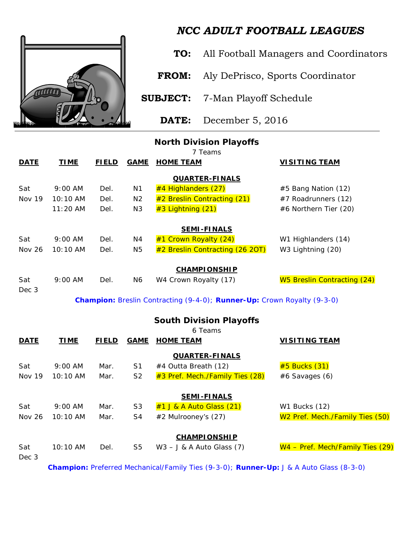

## *NCC ADULT FOOTBALL LEAGUES*

**TO:** All Football Managers and Coordinators

**FROM:** Aly DePrisco, Sports Coordinator

**SUBJECT:** 7-Man Playoff Schedule

**DATE:** December 5, 2016

## **North Division Playoffs**

*7 Teams* **DATE TIME FIELD GAME HOME TEAM VISITING TEAM QUARTER-FINALS** Sat 9:00 AM Del. N1  $\frac{\#4 \text{ High} \cdot \text{High} \cdot \text{High} \cdot \text{dim} \cdot \text{dim} \cdot \text{dim} \cdot \text{dim} \cdot \text{dim} \cdot \text{dim} \cdot \text{dim} \cdot \text{dim} \cdot \text{dim} \cdot \text{dim} \cdot \text{dim} \cdot \text{dim} \cdot \text{dim} \cdot \text{dim} \cdot \text{dim} \cdot \text{dim} \cdot \text{dim} \cdot \text{dim} \cdot \text{dim} \cdot \text{dim} \cdot \text{dim} \cdot \text{dim} \cdot \text{dim} \cdot \text{dim} \cdot \text{dim} \$ Nov 19 10:10 AM Del. N2  $\frac{\#2}{2}$  Breslin Contracting (21)  $\frac{\#7}{2}$  Roadrunners (12) 11:20 AM Del. N3  $\frac{43}{100}$  Lightning (21)  $\frac{46}{100}$  Morthern Tier (20) **SEMI-FINALS** Sat 9:00 AM Del.  $N4 = #1$  Crown Royalty  $(24)$  W1 Highlanders (14) Nov 26 10:10 AM Del.  $N5 = #2$  Breslin Contracting  $(26 20T)$  W3 Lightning  $(20)$ **CHAMPIONSHIP** Sat 9:00 AM Del. N6 W4 Crown Royalty (17) W5 Breslin Contracting (24) Dec 3

*Champion: Breslin Contracting (9-4-0); Runner-Up: Crown Royalty (9-3-0)*

| <b>South Division Playoffs</b><br>6 Teams |             |              |                |                                     |                                             |  |  |  |
|-------------------------------------------|-------------|--------------|----------------|-------------------------------------|---------------------------------------------|--|--|--|
| <b>DATE</b>                               | <b>TIME</b> | <b>FIELD</b> | <b>GAME</b>    | <b>HOME TEAM</b>                    | <b>VISITING TEAM</b>                        |  |  |  |
|                                           |             |              |                | <b>QUARTER-FINALS</b>               |                                             |  |  |  |
| Sat                                       | $9:00$ AM   | Mar.         | S1             | #4 Outta Breath (12)                | #5 Bucks (31)                               |  |  |  |
| Nov 19                                    | 10:10 AM    | Mar.         | S <sub>2</sub> | $\#3$ Pref. Mech./Family Ties (28)  | $#6$ Savages $(6)$                          |  |  |  |
|                                           |             |              |                | <b>SEMI-FINALS</b>                  |                                             |  |  |  |
| Sat                                       | $9:00$ AM   | Mar.         | S <sub>3</sub> | $#1$ J & A Auto Glass $(21)$        | <b>W1 Bucks (12)</b>                        |  |  |  |
| <b>Nov 26</b>                             | 10:10 AM    | Mar.         | S4             | #2 Mulrooney's (27)                 | W <sub>2</sub> Pref. Mech./Family Ties (50) |  |  |  |
|                                           |             |              |                | <b>CHAMPIONSHIP</b>                 |                                             |  |  |  |
| Sat                                       | $10:10$ AM  | Del.         | S <sub>5</sub> | $W3 - J & A \text{ Auto Glass (7)}$ | W4 - Pref. Mech/Family Ties (29)            |  |  |  |
| Dec 3                                     |             |              |                |                                     |                                             |  |  |  |
|                                           |             |              |                |                                     |                                             |  |  |  |

*Champion: Preferred Mechanical/Family Ties (9-3-0); Runner-Up: J & A Auto Glass (8-3-0)*